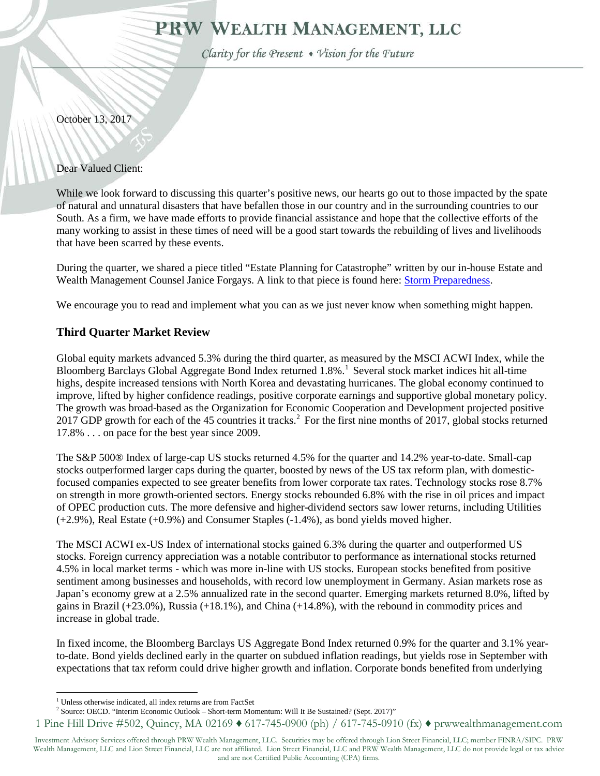# PRW WEALTH MANAGEMENT, LLC

Clarity for the Present • Vision for the Future

October 13, 2017

Dear Valued Client:

While we look forward to discussing this quarter's positive news, our hearts go out to those impacted by the spate of natural and unnatural disasters that have befallen those in our country and in the surrounding countries to our South. As a firm, we have made efforts to provide financial assistance and hope that the collective efforts of the many working to assist in these times of need will be a good start towards the rebuilding of lives and livelihoods that have been scarred by these events.

During the quarter, we shared a piece titled "Estate Planning for Catastrophe" written by our in-house Estate and Wealth Management Counsel Janice Forgays. A link to that piece is found here: **Storm Preparedness**.

We encourage you to read and implement what you can as we just never know when something might happen.

## **Third Quarter Market Review**

Global equity markets advanced 5.3% during the third quarter, as measured by the MSCI ACWI Index, while the Bloomberg Barclays Global Aggregate Bond Index returned [1](#page-0-0).8%.<sup>1</sup> Several stock market indices hit all-time highs, despite increased tensions with North Korea and devastating hurricanes. The global economy continued to improve, lifted by higher confidence readings, positive corporate earnings and supportive global monetary policy. The growth was broad-based as the Organization for Economic Cooperation and Development projected positive [2](#page-0-1)017 GDP growth for each of the 45 countries it tracks.<sup>2</sup> For the first nine months of 2017, global stocks returned 17.8% . . . on pace for the best year since 2009.

The S&P 500® Index of large-cap US stocks returned 4.5% for the quarter and 14.2% year-to-date. Small-cap stocks outperformed larger caps during the quarter, boosted by news of the US tax reform plan, with domesticfocused companies expected to see greater benefits from lower corporate tax rates. Technology stocks rose 8.7% on strength in more growth-oriented sectors. Energy stocks rebounded 6.8% with the rise in oil prices and impact of OPEC production cuts. The more defensive and higher-dividend sectors saw lower returns, including Utilities (+2.9%), Real Estate (+0.9%) and Consumer Staples (-1.4%), as bond yields moved higher.

The MSCI ACWI ex-US Index of international stocks gained 6.3% during the quarter and outperformed US stocks. Foreign currency appreciation was a notable contributor to performance as international stocks returned 4.5% in local market terms - which was more in-line with US stocks. European stocks benefited from positive sentiment among businesses and households, with record low unemployment in Germany. Asian markets rose as Japan's economy grew at a 2.5% annualized rate in the second quarter. Emerging markets returned 8.0%, lifted by gains in Brazil  $(+23.0\%)$ , Russia  $(+18.1\%)$ , and China  $(+14.8\%)$ , with the rebound in commodity prices and increase in global trade.

In fixed income, the Bloomberg Barclays US Aggregate Bond Index returned 0.9% for the quarter and 3.1% yearto-date. Bond yields declined early in the quarter on subdued inflation readings, but yields rose in September with expectations that tax reform could drive higher growth and inflation. Corporate bonds benefited from underlying

 $1$  Unless otherwise indicated, all index returns are from FactSet

<sup>&</sup>lt;sup>2</sup> Source: OECD. "Interim Economic Outlook – Short-term Momentum: Will It Be Sustained? (Sept. 2017)"

<span id="page-0-1"></span><span id="page-0-0"></span><sup>1</sup> Pine Hill Drive #502, Quincy, MA 02169 ♦ 617-745-0900 (ph) / 617-745-0910 (fx) ♦ prwwealthmanagement.com

Investment Advisory Services offered through PRW Wealth Management, LLC. Securities may be offered through Lion Street Financial, LLC; member FINRA/SIPC. PRW Wealth Management, LLC and Lion Street Financial, LLC are not affiliated. Lion Street Financial, LLC and PRW Wealth Management, LLC do not provide legal or tax advice and are not Certified Public Accounting (CPA) firms.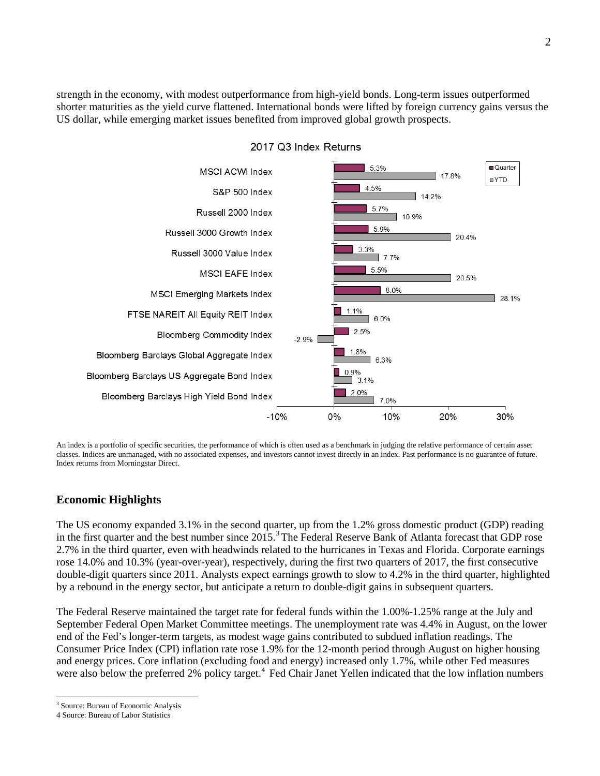strength in the economy, with modest outperformance from high-yield bonds. Long-term issues outperformed shorter maturities as the yield curve flattened. International bonds were lifted by foreign currency gains versus the US dollar, while emerging market issues benefited from improved global growth prospects.



An index is a portfolio of specific securities, the performance of which is often used as a benchmark in judging the relative performance of certain asset classes. Indices are unmanaged, with no associated expenses, and investors cannot invest directly in an index. Past performance is no guarantee of future. Index returns from Morningstar Direct.

## **Economic Highlights**

The US economy expanded 3.1% in the second quarter, up from the 1.2% gross domestic product (GDP) reading in the first quarter and the best number since 2015.<sup>[3](#page-1-0)</sup> The Federal Reserve Bank of Atlanta forecast that GDP rose 2.7% in the third quarter, even with headwinds related to the hurricanes in Texas and Florida. Corporate earnings rose 14.0% and 10.3% (year-over-year), respectively, during the first two quarters of 2017, the first consecutive double-digit quarters since 2011. Analysts expect earnings growth to slow to 4.2% in the third quarter, highlighted by a rebound in the energy sector, but anticipate a return to double-digit gains in subsequent quarters.

The Federal Reserve maintained the target rate for federal funds within the 1.00%-1.25% range at the July and September Federal Open Market Committee meetings. The unemployment rate was 4.4% in August, on the lower end of the Fed's longer-term targets, as modest wage gains contributed to subdued inflation readings. The Consumer Price Index (CPI) inflation rate rose 1.9% for the 12-month period through August on higher housing and energy prices. Core inflation (excluding food and energy) increased only 1.7%, while other Fed measures were also below the preferred 2% policy target.<sup>[4](#page-1-1)</sup> Fed Chair Janet Yellen indicated that the low inflation numbers

<span id="page-1-0"></span><sup>&</sup>lt;sup>3</sup> Source: Bureau of Economic Analysis

<span id="page-1-1"></span><sup>4</sup> Source: Bureau of Labor Statistics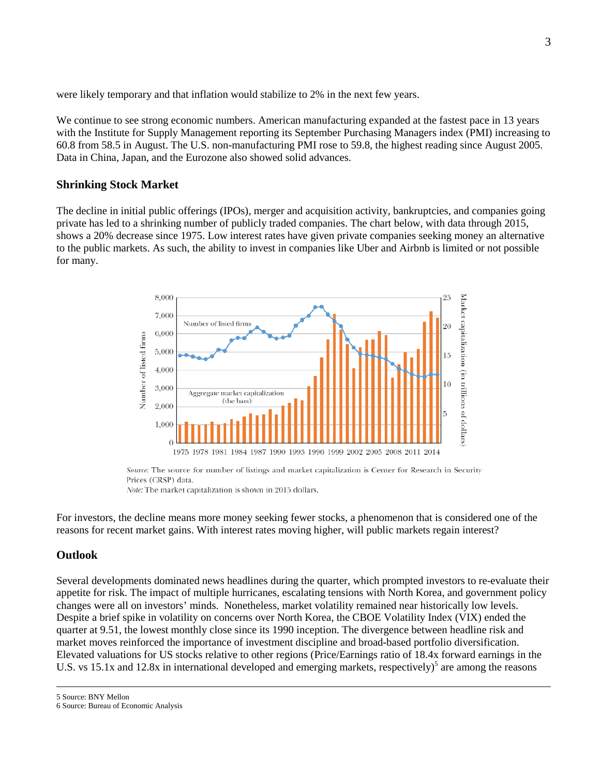were likely temporary and that inflation would stabilize to 2% in the next few years.

We continue to see strong economic numbers. American manufacturing expanded at the fastest pace in 13 years with the Institute for Supply Management reporting its September Purchasing Managers index (PMI) increasing to 60.8 from 58.5 in August. The U.S. non-manufacturing PMI rose to 59.8, the highest reading since August 2005. Data in China, Japan, and the Eurozone also showed solid advances.

### **Shrinking Stock Market**

The decline in initial public offerings (IPOs), merger and acquisition activity, bankruptcies, and companies going private has led to a shrinking number of publicly traded companies. The chart below, with data through 2015, shows a 20% decrease since 1975. Low interest rates have given private companies seeking money an alternative to the public markets. As such, the ability to invest in companies like Uber and Airbnb is limited or not possible for many.



Source: The source for number of listings and market capitalization is Center for Research in Security Prices (CRSP) data.

Note: The market capitalization is shown in 2015 dollars.

For investors, the decline means more money seeking fewer stocks, a phenomenon that is considered one of the reasons for recent market gains. With interest rates moving higher, will public markets regain interest?

### **Outlook**

Several developments dominated news headlines during the quarter, which prompted investors to re-evaluate their appetite for risk. The impact of multiple hurricanes, escalating tensions with North Korea, and government policy changes were all on investors' minds. Nonetheless, market volatility remained near historically low levels. Despite a brief spike in volatility on concerns over North Korea, the CBOE Volatility Index (VIX) ended the quarter at 9.51, the lowest monthly close since its 1990 inception. The divergence between headline risk and market moves reinforced the importance of investment discipline and broad-based portfolio diversification. Elevated valuations for US stocks relative to other regions (Price/Earnings ratio of 18.4x forward earnings in the U.S. vs 15.1x and 12.8x in international developed and emerging markets, respectively)<sup>5</sup> are among the reasons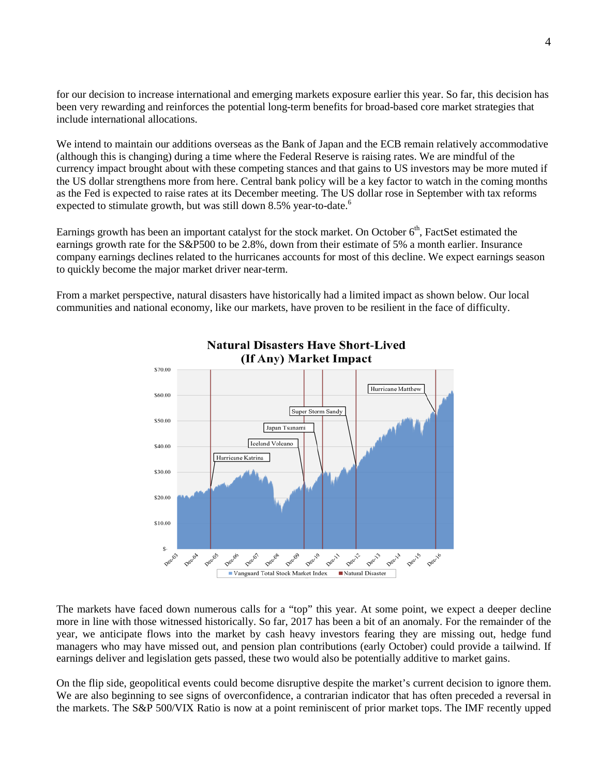for our decision to increase international and emerging markets exposure earlier this year. So far, this decision has been very rewarding and reinforces the potential long-term benefits for broad-based core market strategies that include international allocations.

We intend to maintain our additions overseas as the Bank of Japan and the ECB remain relatively accommodative (although this is changing) during a time where the Federal Reserve is raising rates. We are mindful of the currency impact brought about with these competing stances and that gains to US investors may be more muted if the US dollar strengthens more from here. Central bank policy will be a key factor to watch in the coming months as the Fed is expected to raise rates at its December meeting. The US dollar rose in September with tax reforms expected to stimulate growth, but was still down 8.5% year-to-date.<sup>6</sup>

Earnings growth has been an important catalyst for the stock market. On October  $6<sup>th</sup>$ , FactSet estimated the earnings growth rate for the S&P500 to be 2.8%, down from their estimate of 5% a month earlier. Insurance company earnings declines related to the hurricanes accounts for most of this decline. We expect earnings season to quickly become the major market driver near-term.

From a market perspective, natural disasters have historically had a limited impact as shown below. Our local communities and national economy, like our markets, have proven to be resilient in the face of difficulty.



The markets have faced down numerous calls for a "top" this year. At some point, we expect a deeper decline more in line with those witnessed historically. So far, 2017 has been a bit of an anomaly. For the remainder of the year, we anticipate flows into the market by cash heavy investors fearing they are missing out, hedge fund managers who may have missed out, and pension plan contributions (early October) could provide a tailwind. If earnings deliver and legislation gets passed, these two would also be potentially additive to market gains.

On the flip side, geopolitical events could become disruptive despite the market's current decision to ignore them. We are also beginning to see signs of overconfidence, a contrarian indicator that has often preceded a reversal in the markets. The S&P 500/VIX Ratio is now at a point reminiscent of prior market tops. The IMF recently upped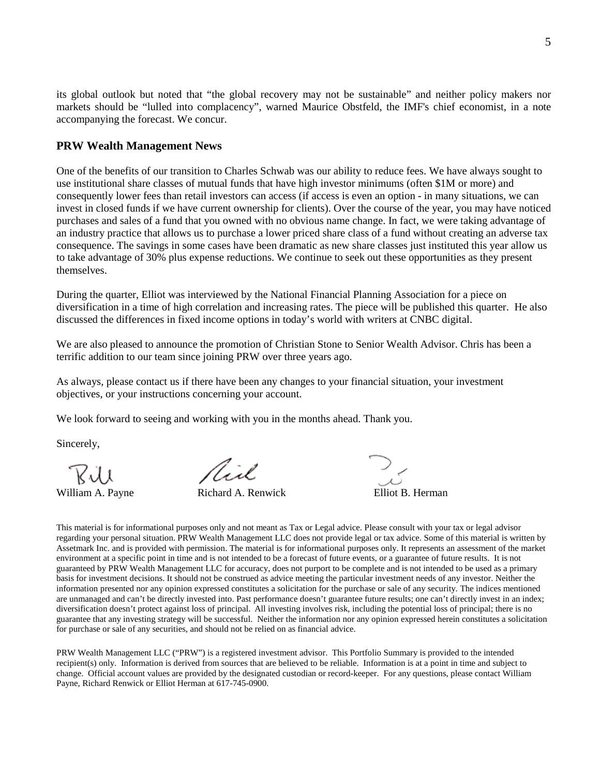its global outlook but noted that "the global recovery may not be sustainable" and neither policy makers nor markets should be "lulled into complacency", warned Maurice Obstfeld, the IMF's chief economist, in a note accompanying the forecast. We concur.

### **PRW Wealth Management News**

One of the benefits of our transition to Charles Schwab was our ability to reduce fees. We have always sought to use institutional share classes of mutual funds that have high investor minimums (often \$1M or more) and consequently lower fees than retail investors can access (if access is even an option - in many situations, we can invest in closed funds if we have current ownership for clients). Over the course of the year, you may have noticed purchases and sales of a fund that you owned with no obvious name change. In fact, we were taking advantage of an industry practice that allows us to purchase a lower priced share class of a fund without creating an adverse tax consequence. The savings in some cases have been dramatic as new share classes just instituted this year allow us to take advantage of 30% plus expense reductions. We continue to seek out these opportunities as they present themselves.

During the quarter, Elliot was interviewed by the National Financial Planning Association for a piece on diversification in a time of high correlation and increasing rates. The piece will be published this quarter. He also discussed the differences in fixed income options in today's world with writers at CNBC digital.

We are also pleased to announce the promotion of Christian Stone to Senior Wealth Advisor. Chris has been a terrific addition to our team since joining PRW over three years ago.

As always, please contact us if there have been any changes to your financial situation, your investment objectives, or your instructions concerning your account.

We look forward to seeing and working with you in the months ahead. Thank you.

Sincerely,

Virl.

William A. Payne **Richard A. Renwick** Elliot B. Herman

This material is for informational purposes only and not meant as Tax or Legal advice. Please consult with your tax or legal advisor regarding your personal situation. PRW Wealth Management LLC does not provide legal or tax advice. Some of this material is written by Assetmark Inc. and is provided with permission. The material is for informational purposes only. It represents an assessment of the market environment at a specific point in time and is not intended to be a forecast of future events, or a guarantee of future results. It is not guaranteed by PRW Wealth Management LLC for accuracy, does not purport to be complete and is not intended to be used as a primary basis for investment decisions. It should not be construed as advice meeting the particular investment needs of any investor. Neither the information presented nor any opinion expressed constitutes a solicitation for the purchase or sale of any security. The indices mentioned are unmanaged and can't be directly invested into. Past performance doesn't guarantee future results; one can't directly invest in an index; diversification doesn't protect against loss of principal. All investing involves risk, including the potential loss of principal; there is no guarantee that any investing strategy will be successful. Neither the information nor any opinion expressed herein constitutes a solicitation for purchase or sale of any securities, and should not be relied on as financial advice.

PRW Wealth Management LLC ("PRW") is a registered investment advisor. This Portfolio Summary is provided to the intended recipient(s) only. Information is derived from sources that are believed to be reliable. Information is at a point in time and subject to change. Official account values are provided by the designated custodian or record-keeper. For any questions, please contact William Payne, Richard Renwick or Elliot Herman at 617-745-0900.